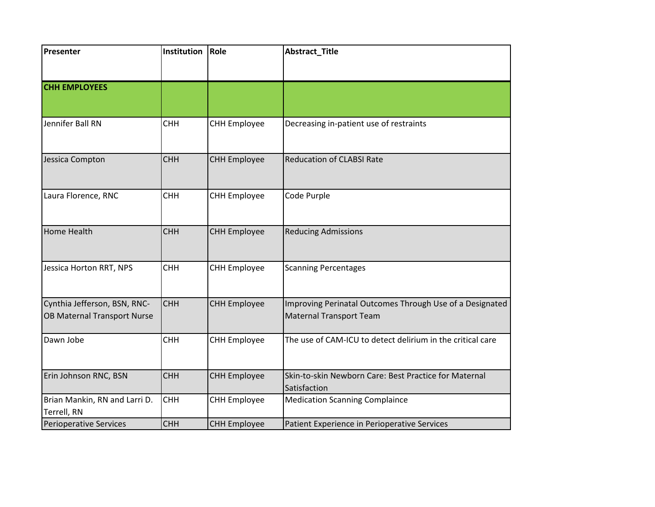| Presenter                                                   | Institution | Role                | <b>Abstract_Title</b>                                                                      |
|-------------------------------------------------------------|-------------|---------------------|--------------------------------------------------------------------------------------------|
|                                                             |             |                     |                                                                                            |
| <b>CHH EMPLOYEES</b>                                        |             |                     |                                                                                            |
|                                                             |             |                     |                                                                                            |
| Jennifer Ball RN                                            | <b>CHH</b>  | <b>CHH Employee</b> | Decreasing in-patient use of restraints                                                    |
| Jessica Compton                                             | <b>CHH</b>  | <b>CHH Employee</b> | <b>Reducation of CLABSI Rate</b>                                                           |
| Laura Florence, RNC                                         | <b>CHH</b>  | <b>CHH Employee</b> | Code Purple                                                                                |
| <b>Home Health</b>                                          | <b>CHH</b>  | <b>CHH Employee</b> | <b>Reducing Admissions</b>                                                                 |
| Jessica Horton RRT, NPS                                     | <b>CHH</b>  | <b>CHH Employee</b> | <b>Scanning Percentages</b>                                                                |
| Cynthia Jefferson, BSN, RNC-<br>OB Maternal Transport Nurse | <b>CHH</b>  | <b>CHH Employee</b> | Improving Perinatal Outcomes Through Use of a Designated<br><b>Maternal Transport Team</b> |
| Dawn Jobe                                                   | <b>CHH</b>  | <b>CHH Employee</b> | The use of CAM-ICU to detect delirium in the critical care                                 |
| Erin Johnson RNC, BSN                                       | <b>CHH</b>  | <b>CHH Employee</b> | Skin-to-skin Newborn Care: Best Practice for Maternal<br>Satisfaction                      |
| Brian Mankin, RN and Larri D.<br>Terrell, RN                | <b>CHH</b>  | <b>CHH Employee</b> | <b>Medication Scanning Complaince</b>                                                      |
| <b>Perioperative Services</b>                               | <b>CHH</b>  | <b>CHH Employee</b> | Patient Experience in Perioperative Services                                               |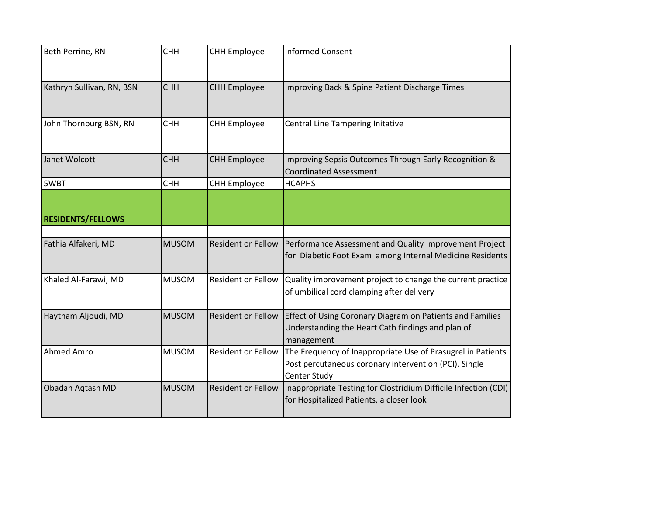| Beth Perrine, RN          | <b>CHH</b>   | <b>CHH Employee</b>       | <b>Informed Consent</b>                                                                                                              |
|---------------------------|--------------|---------------------------|--------------------------------------------------------------------------------------------------------------------------------------|
| Kathryn Sullivan, RN, BSN | <b>CHH</b>   | <b>CHH Employee</b>       | Improving Back & Spine Patient Discharge Times                                                                                       |
| John Thornburg BSN, RN    | <b>CHH</b>   | <b>CHH Employee</b>       | Central Line Tampering Initative                                                                                                     |
| Janet Wolcott             | <b>CHH</b>   | <b>CHH Employee</b>       | Improving Sepsis Outcomes Through Early Recognition &<br><b>Coordinated Assessment</b>                                               |
| 5WBT                      | <b>CHH</b>   | <b>CHH Employee</b>       | <b>HCAPHS</b>                                                                                                                        |
| <b>RESIDENTS/FELLOWS</b>  |              |                           |                                                                                                                                      |
| Fathia Alfakeri, MD       | <b>MUSOM</b> | <b>Resident or Fellow</b> | Performance Assessment and Quality Improvement Project<br>for Diabetic Foot Exam among Internal Medicine Residents                   |
| Khaled Al-Farawi, MD      | <b>MUSOM</b> | Resident or Fellow        | Quality improvement project to change the current practice<br>of umbilical cord clamping after delivery                              |
| Haytham Aljoudi, MD       | <b>MUSOM</b> | <b>Resident or Fellow</b> | Effect of Using Coronary Diagram on Patients and Families<br>Understanding the Heart Cath findings and plan of<br>management         |
| <b>Ahmed Amro</b>         | <b>MUSOM</b> | <b>Resident or Fellow</b> | The Frequency of Inappropriate Use of Prasugrel in Patients<br>Post percutaneous coronary intervention (PCI). Single<br>Center Study |
| Obadah Aqtash MD          | <b>MUSOM</b> | <b>Resident or Fellow</b> | Inappropriate Testing for Clostridium Difficile Infection (CDI)<br>for Hospitalized Patients, a closer look                          |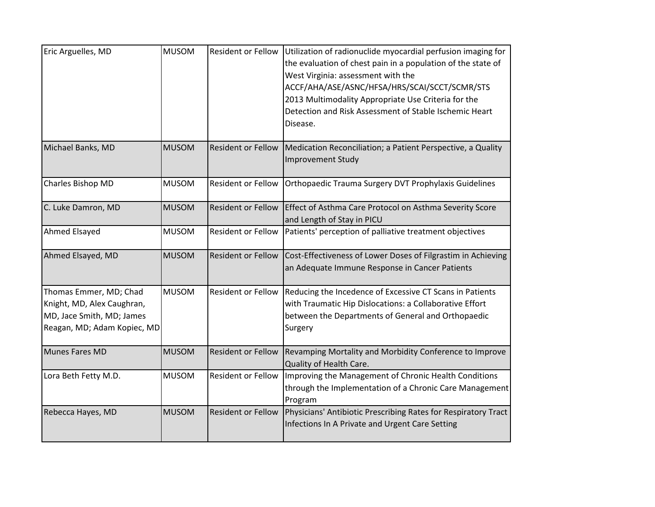| Eric Arguelles, MD                                                                                               | <b>MUSOM</b> | <b>Resident or Fellow</b> | Utilization of radionuclide myocardial perfusion imaging for<br>the evaluation of chest pain in a population of the state of<br>West Virginia: assessment with the<br>ACCF/AHA/ASE/ASNC/HFSA/HRS/SCAI/SCCT/SCMR/STS<br>2013 Multimodality Appropriate Use Criteria for the<br>Detection and Risk Assessment of Stable Ischemic Heart<br>Disease. |
|------------------------------------------------------------------------------------------------------------------|--------------|---------------------------|--------------------------------------------------------------------------------------------------------------------------------------------------------------------------------------------------------------------------------------------------------------------------------------------------------------------------------------------------|
| Michael Banks, MD                                                                                                | <b>MUSOM</b> | <b>Resident or Fellow</b> | Medication Reconciliation; a Patient Perspective, a Quality<br><b>Improvement Study</b>                                                                                                                                                                                                                                                          |
| Charles Bishop MD                                                                                                | <b>MUSOM</b> | <b>Resident or Fellow</b> | Orthopaedic Trauma Surgery DVT Prophylaxis Guidelines                                                                                                                                                                                                                                                                                            |
| C. Luke Damron, MD                                                                                               | <b>MUSOM</b> | <b>Resident or Fellow</b> | Effect of Asthma Care Protocol on Asthma Severity Score<br>and Length of Stay in PICU                                                                                                                                                                                                                                                            |
| Ahmed Elsayed                                                                                                    | <b>MUSOM</b> | Resident or Fellow        | Patients' perception of palliative treatment objectives                                                                                                                                                                                                                                                                                          |
| Ahmed Elsayed, MD                                                                                                | <b>MUSOM</b> | <b>Resident or Fellow</b> | Cost-Effectiveness of Lower Doses of Filgrastim in Achieving<br>an Adequate Immune Response in Cancer Patients                                                                                                                                                                                                                                   |
| Thomas Emmer, MD; Chad<br>Knight, MD, Alex Caughran,<br>MD, Jace Smith, MD; James<br>Reagan, MD; Adam Kopiec, MD | <b>MUSOM</b> | <b>Resident or Fellow</b> | Reducing the Incedence of Excessive CT Scans in Patients<br>with Traumatic Hip Dislocations: a Collaborative Effort<br>between the Departments of General and Orthopaedic<br>Surgery                                                                                                                                                             |
| Munes Fares MD                                                                                                   | <b>MUSOM</b> | <b>Resident or Fellow</b> | Revamping Mortality and Morbidity Conference to Improve<br>Quality of Health Care.                                                                                                                                                                                                                                                               |
| Lora Beth Fetty M.D.                                                                                             | <b>MUSOM</b> | Resident or Fellow        | Improving the Management of Chronic Health Conditions<br>through the Implementation of a Chronic Care Management<br>Program                                                                                                                                                                                                                      |
| Rebecca Hayes, MD                                                                                                | <b>MUSOM</b> | <b>Resident or Fellow</b> | Physicians' Antibiotic Prescribing Rates for Respiratory Tract<br>Infections In A Private and Urgent Care Setting                                                                                                                                                                                                                                |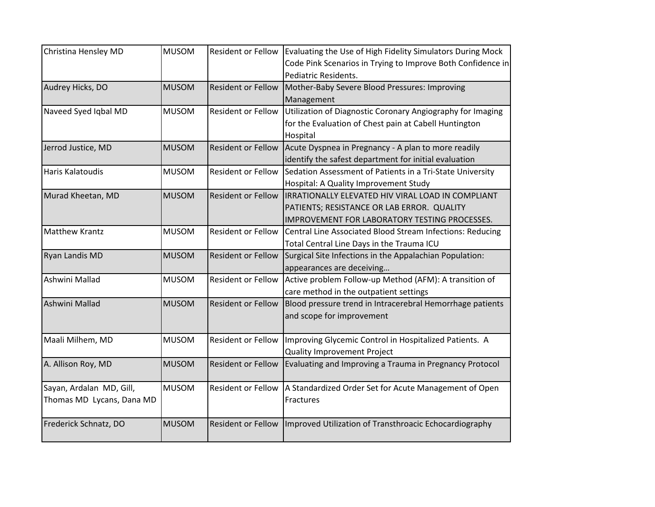| Christina Hensley MD      | <b>MUSOM</b> | <b>Resident or Fellow</b> | Evaluating the Use of High Fidelity Simulators During Mock<br>Code Pink Scenarios in Trying to Improve Both Confidence in |
|---------------------------|--------------|---------------------------|---------------------------------------------------------------------------------------------------------------------------|
|                           |              |                           | Pediatric Residents.                                                                                                      |
| Audrey Hicks, DO          | <b>MUSOM</b> | <b>Resident or Fellow</b> | Mother-Baby Severe Blood Pressures: Improving                                                                             |
|                           |              |                           | Management                                                                                                                |
| Naveed Syed Iqbal MD      | <b>MUSOM</b> | Resident or Fellow        | Utilization of Diagnostic Coronary Angiography for Imaging                                                                |
|                           |              |                           | for the Evaluation of Chest pain at Cabell Huntington                                                                     |
|                           |              |                           | Hospital                                                                                                                  |
| Jerrod Justice, MD        | <b>MUSOM</b> | <b>Resident or Fellow</b> | Acute Dyspnea in Pregnancy - A plan to more readily                                                                       |
|                           |              |                           | identify the safest department for initial evaluation                                                                     |
| Haris Kalatoudis          | <b>MUSOM</b> | Resident or Fellow        | Sedation Assessment of Patients in a Tri-State University                                                                 |
|                           |              |                           | Hospital: A Quality Improvement Study                                                                                     |
| Murad Kheetan, MD         | <b>MUSOM</b> | <b>Resident or Fellow</b> | IRRATIONALLY ELEVATED HIV VIRAL LOAD IN COMPLIANT                                                                         |
|                           |              |                           | PATIENTS; RESISTANCE OR LAB ERROR. QUALITY                                                                                |
|                           |              |                           | IMPROVEMENT FOR LABORATORY TESTING PROCESSES.                                                                             |
| <b>Matthew Krantz</b>     | <b>MUSOM</b> | Resident or Fellow        | Central Line Associated Blood Stream Infections: Reducing                                                                 |
|                           |              |                           | Total Central Line Days in the Trauma ICU                                                                                 |
| Ryan Landis MD            | <b>MUSOM</b> | <b>Resident or Fellow</b> | Surgical Site Infections in the Appalachian Population:                                                                   |
|                           |              |                           | appearances are deceiving                                                                                                 |
| Ashwini Mallad            | <b>MUSOM</b> | Resident or Fellow        | Active problem Follow-up Method (AFM): A transition of                                                                    |
|                           |              |                           | care method in the outpatient settings                                                                                    |
| Ashwini Mallad            | <b>MUSOM</b> | <b>Resident or Fellow</b> | Blood pressure trend in Intracerebral Hemorrhage patients                                                                 |
|                           |              |                           | and scope for improvement                                                                                                 |
|                           |              |                           |                                                                                                                           |
| Maali Milhem, MD          | <b>MUSOM</b> | Resident or Fellow        | Improving Glycemic Control in Hospitalized Patients. A                                                                    |
|                           |              |                           | Quality Improvement Project                                                                                               |
| A. Allison Roy, MD        | <b>MUSOM</b> | <b>Resident or Fellow</b> | Evaluating and Improving a Trauma in Pregnancy Protocol                                                                   |
|                           |              |                           |                                                                                                                           |
| Sayan, Ardalan MD, Gill,  | <b>MUSOM</b> | Resident or Fellow        | A Standardized Order Set for Acute Management of Open                                                                     |
| Thomas MD Lycans, Dana MD |              |                           | Fractures                                                                                                                 |
|                           |              |                           |                                                                                                                           |
| Frederick Schnatz, DO     | <b>MUSOM</b> | <b>Resident or Fellow</b> | Improved Utilization of Transthroacic Echocardiography                                                                    |
|                           |              |                           |                                                                                                                           |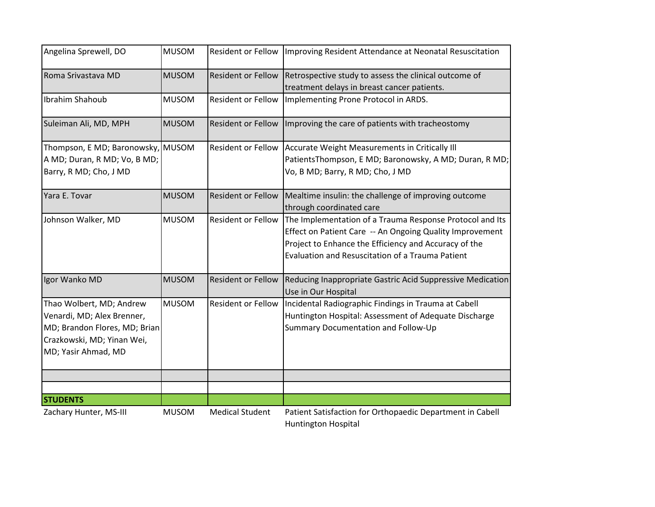| Angelina Sprewell, DO                                                                                                                        | <b>MUSOM</b> | Resident or Fellow        | Improving Resident Attendance at Neonatal Resuscitation                                                                                                                                                                           |
|----------------------------------------------------------------------------------------------------------------------------------------------|--------------|---------------------------|-----------------------------------------------------------------------------------------------------------------------------------------------------------------------------------------------------------------------------------|
| Roma Srivastava MD                                                                                                                           | <b>MUSOM</b> | <b>Resident or Fellow</b> | Retrospective study to assess the clinical outcome of<br>treatment delays in breast cancer patients.                                                                                                                              |
| Ibrahim Shahoub                                                                                                                              | <b>MUSOM</b> | <b>Resident or Fellow</b> | Implementing Prone Protocol in ARDS.                                                                                                                                                                                              |
| Suleiman Ali, MD, MPH                                                                                                                        | <b>MUSOM</b> | Resident or Fellow        | Improving the care of patients with tracheostomy                                                                                                                                                                                  |
| Thompson, E MD; Baronowsky, MUSOM<br>A MD; Duran, R MD; Vo, B MD;<br>Barry, R MD; Cho, J MD                                                  |              | Resident or Fellow        | Accurate Weight Measurements in Critically III<br>PatientsThompson, E MD; Baronowsky, A MD; Duran, R MD;<br>Vo, B MD; Barry, R MD; Cho, J MD                                                                                      |
| Yara E. Tovar                                                                                                                                | <b>MUSOM</b> | <b>Resident or Fellow</b> | Mealtime insulin: the challenge of improving outcome<br>through coordinated care                                                                                                                                                  |
| Johnson Walker, MD                                                                                                                           | <b>MUSOM</b> | <b>Resident or Fellow</b> | The Implementation of a Trauma Response Protocol and Its<br>Effect on Patient Care -- An Ongoing Quality Improvement<br>Project to Enhance the Efficiency and Accuracy of the<br>Evaluation and Resuscitation of a Trauma Patient |
| Igor Wanko MD                                                                                                                                | <b>MUSOM</b> | <b>Resident or Fellow</b> | Reducing Inappropriate Gastric Acid Suppressive Medication<br>Use in Our Hospital                                                                                                                                                 |
| Thao Wolbert, MD; Andrew<br>Venardi, MD; Alex Brenner,<br>MD; Brandon Flores, MD; Brian<br>Crazkowski, MD; Yinan Wei,<br>MD; Yasir Ahmad, MD | <b>MUSOM</b> | <b>Resident or Fellow</b> | Incidental Radiographic Findings in Trauma at Cabell<br>Huntington Hospital: Assessment of Adequate Discharge<br>Summary Documentation and Follow-Up                                                                              |
|                                                                                                                                              |              |                           |                                                                                                                                                                                                                                   |
|                                                                                                                                              |              |                           |                                                                                                                                                                                                                                   |
| <b>STUDENTS</b>                                                                                                                              |              |                           |                                                                                                                                                                                                                                   |
| Zachary Hunter, MS-III                                                                                                                       | <b>MUSOM</b> | <b>Medical Student</b>    | Patient Satisfaction for Orthopaedic Department in Cabell                                                                                                                                                                         |

Huntington Hospital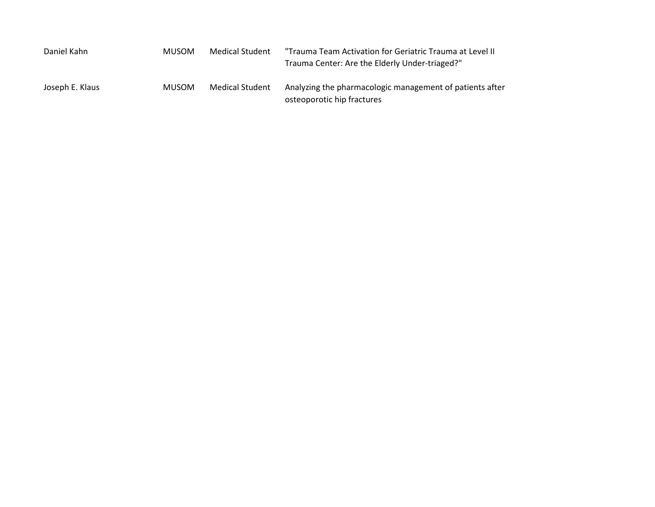| Daniel Kahn     | <b>MUSOM</b> | Medical Student | "Trauma Team Activation for Geriatric Trauma at Level II<br>Trauma Center: Are the Elderly Under-triaged?" |
|-----------------|--------------|-----------------|------------------------------------------------------------------------------------------------------------|
| Joseph E. Klaus | <b>MUSOM</b> | Medical Student | Analyzing the pharmacologic management of patients after<br>osteoporotic hip fractures                     |